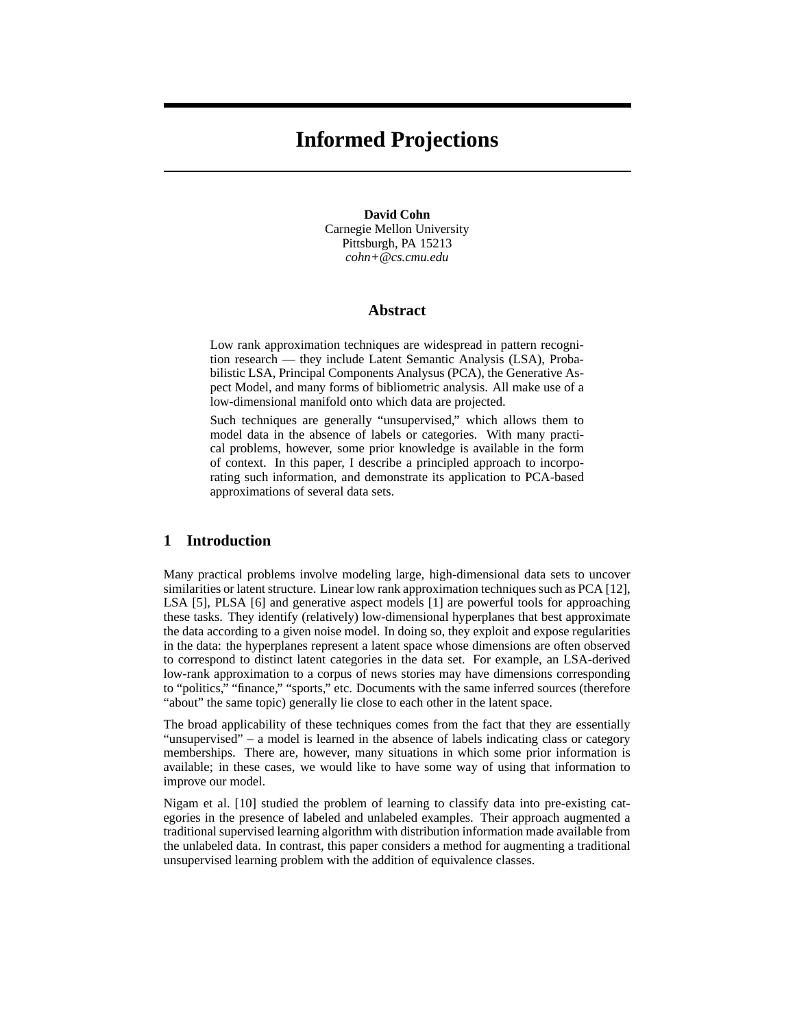# **Informed Projections**

**David Cohn** Carnegie Mellon University Pittsburgh, PA 15213 *cohn+@cs.cmu.edu*

### **Abstract**

Low rank approximation techniques are widespread in pattern recognition research — they include Latent Semantic Analysis (LSA), Probabilistic LSA, Principal Components Analysus (PCA), the Generative Aspect Model, and many forms of bibliometric analysis. All make use of a low-dimensional manifold onto which data are projected.

Such techniques are generally "unsupervised," which allows them to model data in the absence of labels or categories. With many practical problems, however, some prior knowledge is available in the form of context. In this paper, I describe a principled approach to incorporating such information, and demonstrate its application to PCA-based approximations of several data sets.

## **1 Introduction**

Many practical problems involve modeling large, high-dimensional data sets to uncover similarities or latent structure. Linear low rank approximation techniques such as PCA [12], LSA [5], PLSA [6] and generative aspect models [1] are powerful tools for approaching these tasks. They identify (relatively) low-dimensional hyperplanes that best approximate the data according to a given noise model. In doing so, they exploit and expose regularities in the data: the hyperplanes represent a latent space whose dimensions are often observed to correspond to distinct latent categories in the data set. For example, an LSA-derived low-rank approximation to a corpus of news stories may have dimensions corresponding to "politics," "finance," "sports," etc. Documents with the same inferred sources (therefore "about" the same topic) generally lie close to each other in the latent space.

The broad applicability of these techniques comes from the fact that they are essentially "unsupervised" – a model is learned in the absence of labels indicating class or category memberships. There are, however, many situations in which some prior information is available; in these cases, we would like to have some way of using that information to improve our model.

Nigam et al. [10] studied the problem of learning to classify data into pre-existing categories in the presence of labeled and unlabeled examples. Their approach augmented a traditional supervised learning algorithm with distribution information made available from the unlabeled data. In contrast, this paper considers a method for augmenting a traditional unsupervised learning problem with the addition of equivalence classes.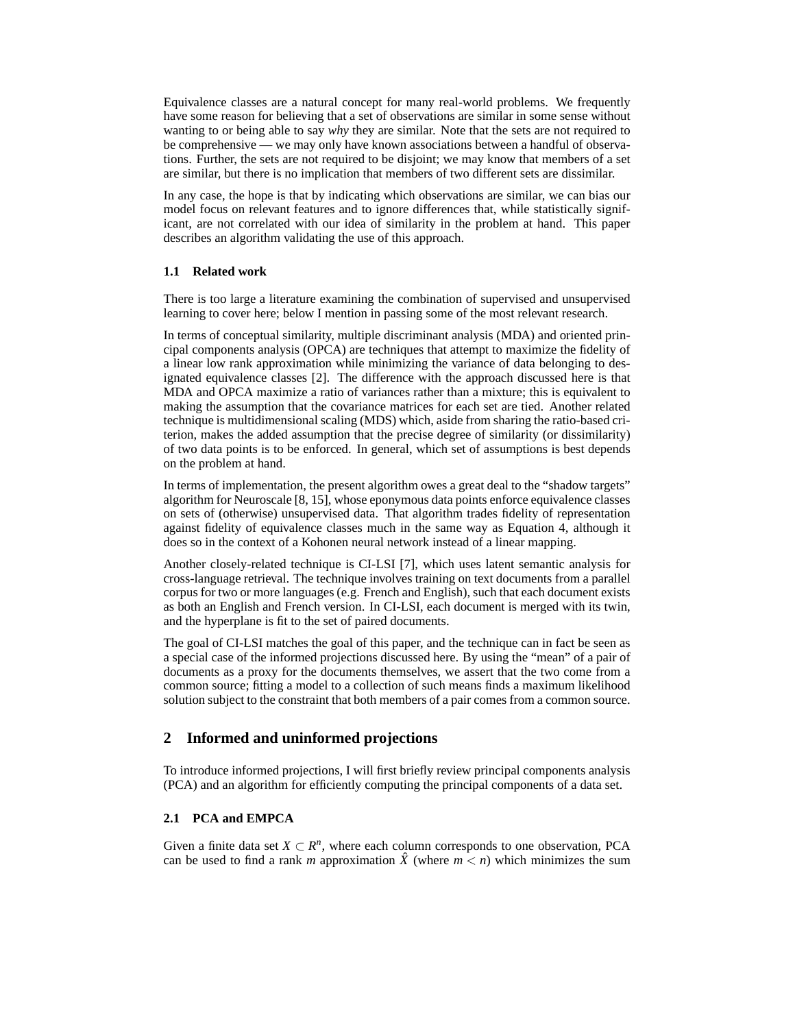Equivalence classes are a natural concept for many real-world problems. We frequently have some reason for believing that a set of observations are similar in some sense without wanting to or being able to say *why* they are similar. Note that the sets are not required to be comprehensive — we may only have known associations between a handful of observations. Further, the sets are not required to be disjoint; we may know that members of a set are similar, but there is no implication that members of two different sets are dissimilar.

In any case, the hope is that by indicating which observations are similar, we can bias our model focus on relevant features and to ignore differences that, while statistically significant, are not correlated with our idea of similarity in the problem at hand. This paper describes an algorithm validating the use of this approach.

## **1.1 Related work**

There is too large a literature examining the combination of supervised and unsupervised learning to cover here; below I mention in passing some of the most relevant research.

In terms of conceptual similarity, multiple discriminant analysis (MDA) and oriented principal components analysis (OPCA) are techniques that attempt to maximize the fidelity of a linear low rank approximation while minimizing the variance of data belonging to designated equivalence classes [2]. The difference with the approach discussed here is that MDA and OPCA maximize a ratio of variances rather than a mixture; this is equivalent to making the assumption that the covariance matrices for each set are tied. Another related technique is multidimensional scaling (MDS) which, aside from sharing the ratio-based criterion, makes the added assumption that the precise degree of similarity (or dissimilarity) of two data points is to be enforced. In general, which set of assumptions is best depends on the problem at hand.

In terms of implementation, the present algorithm owes a great deal to the "shadow targets" algorithm for Neuroscale [8, 15], whose eponymous data points enforce equivalence classes on sets of (otherwise) unsupervised data. That algorithm trades fidelity of representation against fidelity of equivalence classes much in the same way as Equation 4, although it does so in the context of a Kohonen neural network instead of a linear mapping.

Another closely-related technique is CI-LSI [7], which uses latent semantic analysis for cross-language retrieval. The technique involves training on text documents from a parallel corpus for two or more languages (e.g. French and English), such that each document exists as both an English and French version. In CI-LSI, each document is merged with its twin, and the hyperplane is fit to the set of paired documents.

The goal of CI-LSI matches the goal of this paper, and the technique can in fact be seen as a special case of the informed projections discussed here. By using the "mean" of a pair of documents as a proxy for the documents themselves, we assert that the two come from a common source; fitting a model to a collection of such means finds a maximum likelihood solution subject to the constraint that both members of a pair comes from a common source.

## **2 Informed and uninformed projections**

To introduce informed projections, I will first briefly review principal components analysis (PCA) and an algorithm for efficiently computing the principal components of a data set.

## **2.1 PCA and EMPCA**

Given a finite data set  $X \subset \mathbb{R}^n$ , where each column corresponds to one observation, PCA can be used to find a rank *m* approximation  $\hat{X}$  (where  $m < n$ ) which minimizes the sum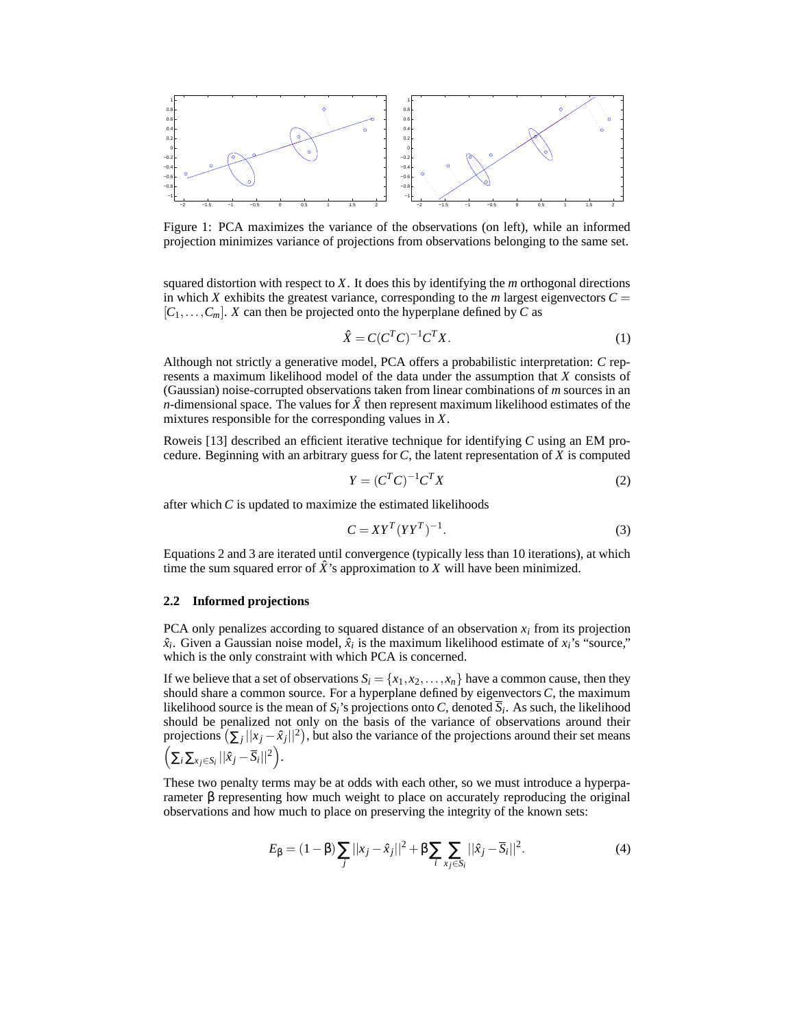

Figure 1: PCA maximizes the variance of the observations (on left), while an informed projection minimizes variance of projections from observations belonging to the same set.

squared distortion with respect to *X*. It does this by identifying the *m* orthogonal directions in which *X* exhibits the greatest variance, corresponding to the *m* largest eigenvectors  $C =$  $[C_1, \ldots, C_m]$ . *X* can then be projected onto the hyperplane defined by *C* as

$$
\hat{X} = C(C^T C)^{-1} C^T X. \tag{1}
$$

Although not strictly a generative model, PCA offers a probabilistic interpretation: *C* represents a maximum likelihood model of the data under the assumption that *X* consists of (Gaussian) noise-corrupted observations taken from linear combinations of *m* sources in an *n*-dimensional space. The values for  $\hat{X}$  then represent maximum likelihood estimates of the mixtures responsible for the corresponding values in *X*.

Roweis [13] described an efficient iterative technique for identifying *C* using an EM procedure. Beginning with an arbitrary guess for *C*, the latent representation of *X* is computed

$$
Y = (CT C)^{-1} CT X
$$
\n
$$
(2)
$$

after which *C* is updated to maximize the estimated likelihoods

$$
C = XYT (YYT)-1.
$$
 (3)

Equations 2 and 3 are iterated until convergence (typically less than 10 iterations), at which time the sum squared error of  $\ddot{X}$ 's approximation to  $\ddot{X}$  will have been minimized.

#### **2.2 Informed projections**

PCA only penalizes according to squared distance of an observation  $x_i$  from its projection  $\hat{x}_i$ . Given a Gaussian noise model,  $\hat{x}_i$  is the maximum likelihood estimate of  $x_i$ 's "source," which is the only constraint with which PCA is concerned.

If we believe that a set of observations  $S_i = \{x_1, x_2, \ldots, x_n\}$  have a common cause, then they should share a common source. For a hyperplane defined by eigenvectors *C*, the maximum likelihood source is the mean of *Si*'s projections onto *C*, denoted *S<sup>i</sup>* . As such, the likelihood should be penalized not only on the basis of the variance of observations around their projections  $(\sum_j ||x_j - \hat{x}_j||^2)$ , but also the variance of the projections around their set means  $\left(\sum_{i}\sum_{x_j\in S_i}||\hat{x}_j-\overline{S}_i||^2\right).$ 

These two penalty terms may be at odds with each other, so we must introduce a hyperparameter β representing how much weight to place on accurately reproducing the original observations and how much to place on preserving the integrity of the known sets:

$$
E_{\beta} = (1 - \beta) \sum_{j} ||x_j - \hat{x}_j||^2 + \beta \sum_{i} \sum_{x_j \in S_i} ||\hat{x}_j - \overline{S}_i||^2.
$$
 (4)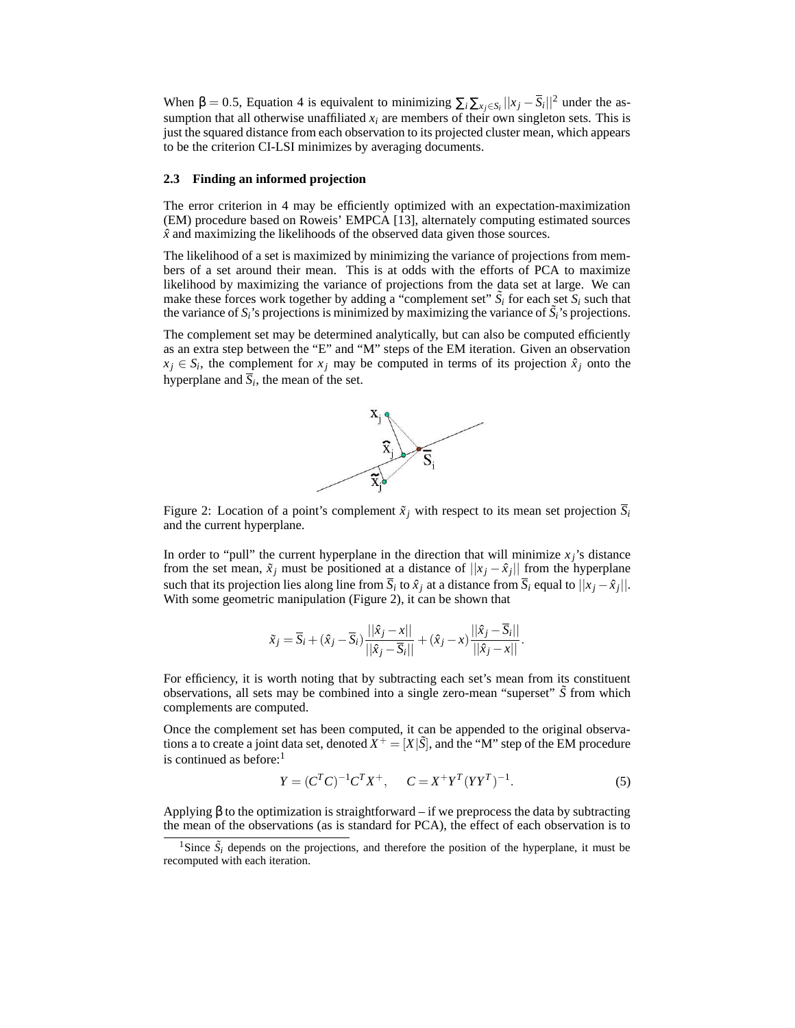When  $\beta = 0.5$ , Equation 4 is equivalent to minimizing  $\sum_i \sum_{x_j \in S_i} ||x_j - \overline{S}_i||^2$  under the assumption that all otherwise unaffiliated  $x_i$  are members of their own singleton sets. This is just the squared distance from each observation to its projected cluster mean, which appears to be the criterion CI-LSI minimizes by averaging documents.

### **2.3 Finding an informed projection**

The error criterion in 4 may be efficiently optimized with an expectation-maximization (EM) procedure based on Roweis' EMPCA [13], alternately computing estimated sources  $\hat{x}$  and maximizing the likelihoods of the observed data given those sources.

The likelihood of a set is maximized by minimizing the variance of projections from members of a set around their mean. This is at odds with the efforts of PCA to maximize likelihood by maximizing the variance of projections from the data set at large. We can make these forces work together by adding a "complement set"  $\tilde{S}_i$  for each set  $S_i$  such that the variance of  $S_i$ 's projections is minimized by maximizing the variance of  $\tilde{S}_i$ 's projections.

The complement set may be determined analytically, but can also be computed efficiently as an extra step between the "E" and "M" steps of the EM iteration. Given an observation  $x_j \in S_i$ , the complement for  $x_j$  may be computed in terms of its projection  $\hat{x}_j$  onto the hyperplane and  $\overline{S}_i$ , the mean of the set.



Figure 2: Location of a point's complement  $\tilde{x}_i$  with respect to its mean set projection  $\overline{S}_i$ and the current hyperplane.

In order to "pull" the current hyperplane in the direction that will minimize  $x_j$ 's distance from the set mean,  $\tilde{x}_j$  must be positioned at a distance of  $||x_j - \hat{x}_j||$  from the hyperplane such that its projection lies along line from  $S_i$  to  $\hat{x}_j$  at a distance from  $S_i$  equal to  $||x_j - \hat{x}_j||$ . With some geometric manipulation (Figure 2), it can be shown that

$$
\tilde{x}_j = \overline{S}_i + (\hat{x}_j - \overline{S}_i) \frac{||\hat{x}_j - x||}{||\hat{x}_j - \overline{S}_i||} + (\hat{x}_j - x) \frac{||\hat{x}_j - \overline{S}_i||}{||\hat{x}_j - x||}.
$$

For efficiency, it is worth noting that by subtracting each set's mean from its constituent observations, all sets may be combined into a single zero-mean "superset" *S*˜ from which complements are computed.

Once the complement set has been computed, it can be appended to the original observations a to create a joint data set, denoted  $\hat{X}^+ = [X|\tilde{S}]$ , and the "M" step of the EM procedure is continued as before: $<sup>1</sup>$ </sup>

$$
Y = (C^{T}C)^{-1}C^{T}X^{+}, \qquad C = X^{+}Y^{T}(YY^{T})^{-1}.
$$
 (5)

Applying  $\beta$  to the optimization is straightforward – if we preprocess the data by subtracting the mean of the observations (as is standard for PCA), the effect of each observation is to

<sup>&</sup>lt;sup>1</sup>Since  $\tilde{S}_i$  depends on the projections, and therefore the position of the hyperplane, it must be recomputed with each iteration.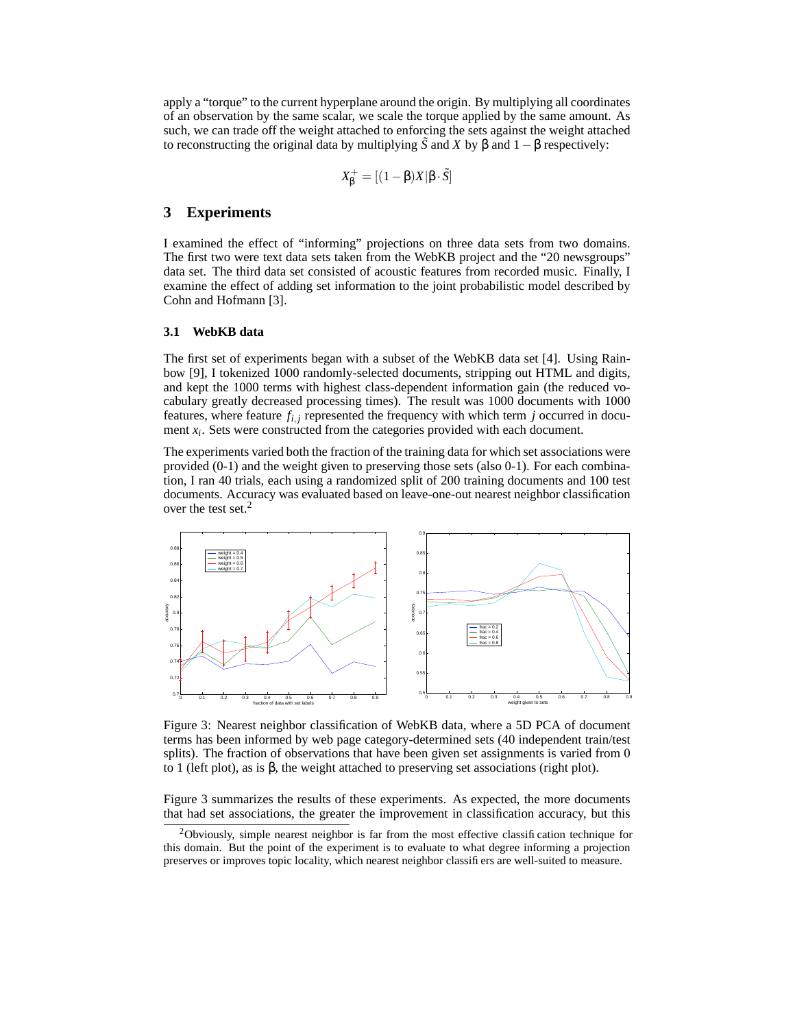apply a "torque" to the current hyperplane around the origin. By multiplying all coordinates of an observation by the same scalar, we scale the torque applied by the same amount. As such, we can trade off the weight attached to enforcing the sets against the weight attached to reconstructing the original data by multiplying  $\tilde{S}$  and  $X$  by  $\beta$  and  $1-\beta$  respectively:

$$
X_{\beta}^{+} = [(1 - \beta)X|\beta \cdot \tilde{S}]
$$

## **3 Experiments**

I examined the effect of "informing" projections on three data sets from two domains. The first two were text data sets taken from the WebKB project and the "20 newsgroups" data set. The third data set consisted of acoustic features from recorded music. Finally, I examine the effect of adding set information to the joint probabilistic model described by Cohn and Hofmann [3].

#### **3.1 WebKB data**

The first set of experiments began with a subset of the WebKB data set [4]. Using Rainbow [9], I tokenized 1000 randomly-selected documents, stripping out HTML and digits, and kept the 1000 terms with highest class-dependent information gain (the reduced vocabulary greatly decreased processing times). The result was 1000 documents with 1000 features, where feature  $f_{i,j}$  represented the frequency with which term  $j$  occurred in document  $x_i$ . Sets were constructed from the categories provided with each document.

The experiments varied both the fraction of the training data for which set associations were provided (0-1) and the weight given to preserving those sets (also 0-1). For each combination, I ran 40 trials, each using a randomized split of 200 training documents and 100 test documents. Accuracy was evaluated based on leave-one-out nearest neighbor classification over the test set.<sup>2</sup>



Figure 3: Nearest neighbor classification of WebKB data, where a 5D PCA of document terms has been informed by web page category-determined sets (40 independent train/test splits). The fraction of observations that have been given set assignments is varied from 0 to 1 (left plot), as is β, the weight attached to preserving set associations (right plot).

Figure 3 summarizes the results of these experiments. As expected, the more documents that had set associations, the greater the improvement in classification accuracy, but this

 $2$ Obviously, simple nearest neighbor is far from the most effective classification technique for this domain. But the point of the experiment is to evaluate to what degree informing a projection preserves or improves topic locality, which nearest neighbor classifiers are well-suited to measure.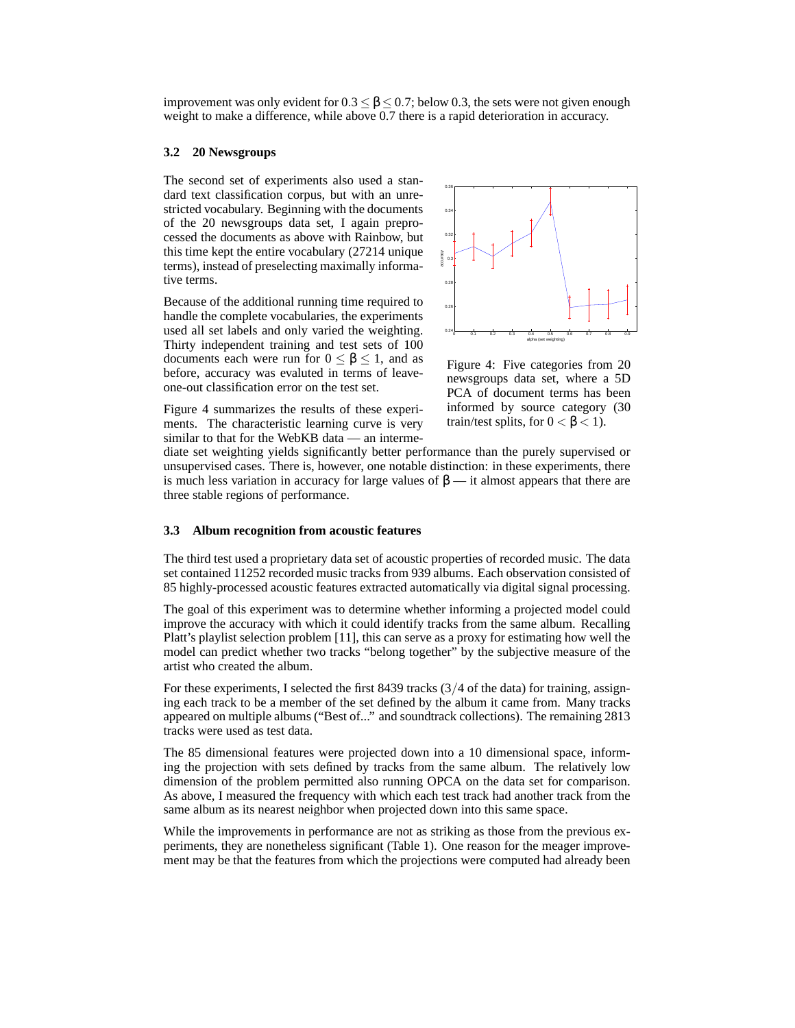improvement was only evident for  $0.3 \le \beta \le 0.7$ ; below 0.3, the sets were not given enough weight to make a difference, while above 0.7 there is a rapid deterioration in accuracy.

#### **3.2 20 Newsgroups**

The second set of experiments also used a standard text classification corpus, but with an unrestricted vocabulary. Beginning with the documents of the 20 newsgroups data set, I again preprocessed the documents as above with Rainbow, but this time kept the entire vocabulary (27214 unique terms), instead of preselecting maximally informative terms.

Because of the additional running time required to handle the complete vocabularies, the experiments used all set labels and only varied the weighting. Thirty independent training and test sets of 100 documents each were run for  $0 \le \beta \le 1$ , and as before, accuracy was evaluted in terms of leaveone-out classification error on the test set.



Figure 4: Five categories from 20 newsgroups data set, where a 5D PCA of document terms has been informed by source category (30 train/test splits, for  $0 < \beta < 1$ ).

Figure 4 summarizes the results of these experiments. The characteristic learning curve is very similar to that for the WebKB data — an interme-

diate set weighting yields significantly better performance than the purely supervised or unsupervised cases. There is, however, one notable distinction: in these experiments, there is much less variation in accuracy for large values of  $\beta$  — it almost appears that there are three stable regions of performance.

#### **3.3 Album recognition from acoustic features**

The third test used a proprietary data set of acoustic properties of recorded music. The data set contained 11252 recorded music tracks from 939 albums. Each observation consisted of 85 highly-processed acoustic features extracted automatically via digital signal processing.

The goal of this experiment was to determine whether informing a projected model could improve the accuracy with which it could identify tracks from the same album. Recalling Platt's playlist selection problem [11], this can serve as a proxy for estimating how well the model can predict whether two tracks "belong together" by the subjective measure of the artist who created the album.

For these experiments, I selected the first 8439 tracks (3/4 of the data) for training, assigning each track to be a member of the set defined by the album it came from. Many tracks appeared on multiple albums ("Best of..." and soundtrack collections). The remaining 2813 tracks were used as test data.

The 85 dimensional features were projected down into a 10 dimensional space, informing the projection with sets defined by tracks from the same album. The relatively low dimension of the problem permitted also running OPCA on the data set for comparison. As above, I measured the frequency with which each test track had another track from the same album as its nearest neighbor when projected down into this same space.

While the improvements in performance are not as striking as those from the previous experiments, they are nonetheless significant (Table 1). One reason for the meager improvement may be that the features from which the projections were computed had already been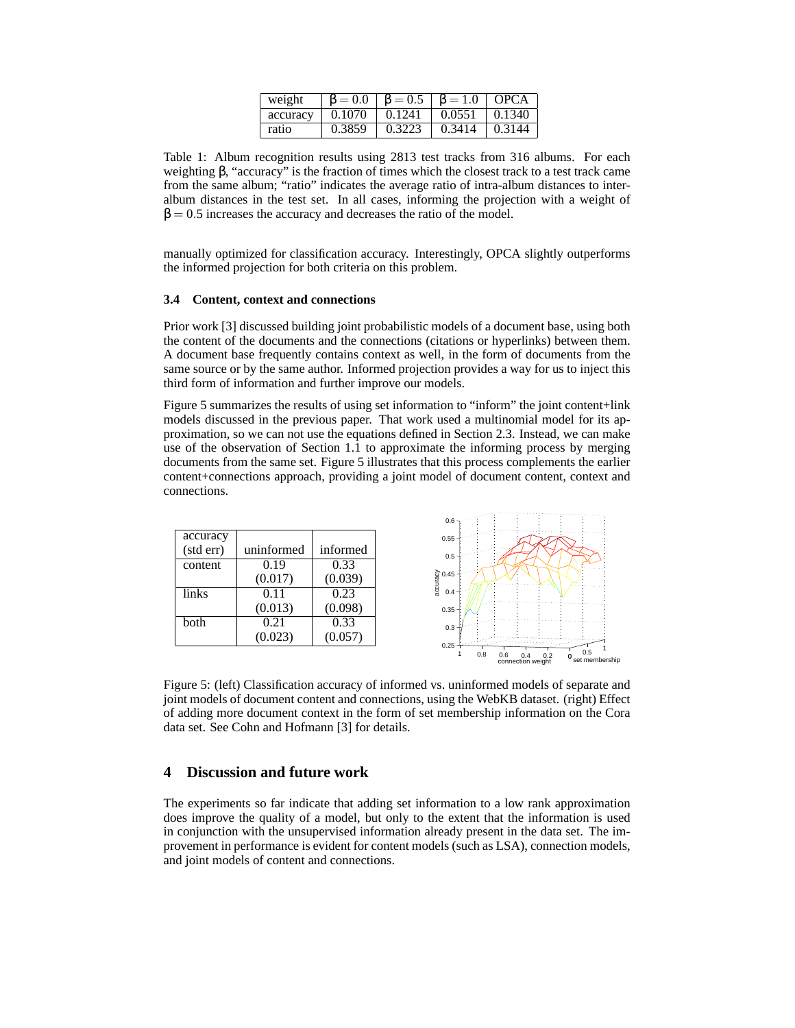| weight   |                     | $\beta = 0.0$   $\beta = 0.5$   $\beta = 1.0$   OPCA |                     |        |
|----------|---------------------|------------------------------------------------------|---------------------|--------|
| accuracy | $0.1070 \pm 0.1241$ |                                                      | $0.0551 \pm 0.1340$ |        |
| ratio    | 0.3859              | 0.3223                                               | 0.3414              | 0.3144 |

Table 1: Album recognition results using 2813 test tracks from 316 albums. For each weighting  $\beta$ , "accuracy" is the fraction of times which the closest track to a test track came from the same album; "ratio" indicates the average ratio of intra-album distances to interalbum distances in the test set. In all cases, informing the projection with a weight of  $\beta = 0.5$  increases the accuracy and decreases the ratio of the model.

manually optimized for classification accuracy. Interestingly, OPCA slightly outperforms the informed projection for both criteria on this problem.

#### **3.4 Content, context and connections**

Prior work [3] discussed building joint probabilistic models of a document base, using both the content of the documents and the connections (citations or hyperlinks) between them. A document base frequently contains context as well, in the form of documents from the same source or by the same author. Informed projection provides a way for us to inject this third form of information and further improve our models.

Figure 5 summarizes the results of using set information to "inform" the joint content+link models discussed in the previous paper. That work used a multinomial model for its approximation, so we can not use the equations defined in Section 2.3. Instead, we can make use of the observation of Section 1.1 to approximate the informing process by merging documents from the same set. Figure 5 illustrates that this process complements the earlier content+connections approach, providing a joint model of document content, context and connections.



Figure 5: (left) Classification accuracy of informed vs. uninformed models of separate and joint models of document content and connections, using the WebKB dataset. (right) Effect of adding more document context in the form of set membership information on the Cora data set. See Cohn and Hofmann [3] for details.

## **4 Discussion and future work**

The experiments so far indicate that adding set information to a low rank approximation does improve the quality of a model, but only to the extent that the information is used in conjunction with the unsupervised information already present in the data set. The improvement in performance is evident for content models (such as LSA), connection models, and joint models of content and connections.